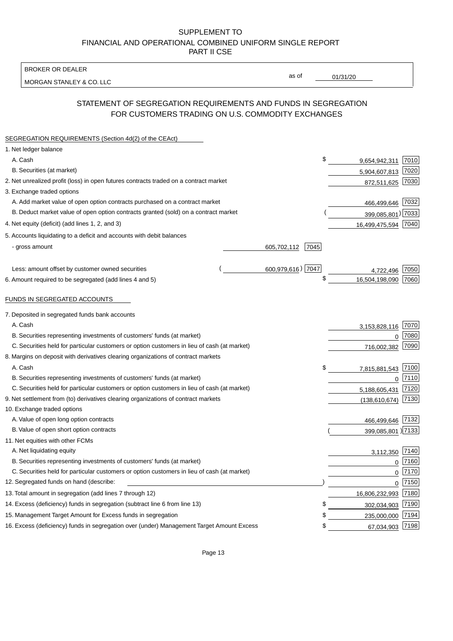BROKER OR DEALER

MORGAN STANLEY & CO. LLC

01/31/20

as of

# STATEMENT OF SEGREGATION REQUIREMENTS AND FUNDS IN SEGREGATION FOR CUSTOMERS TRADING ON U.S. COMMODITY EXCHANGES

| SEGREGATION REQUIREMENTS (Section 4d(2) of the CEAct)                                       |                     |                     |      |
|---------------------------------------------------------------------------------------------|---------------------|---------------------|------|
| 1. Net ledger balance                                                                       |                     |                     |      |
| A. Cash                                                                                     | \$                  | 9,654,942,311       | 7010 |
| B. Securities (at market)                                                                   |                     | 5,904,607,813       | 7020 |
| 2. Net unrealized profit (loss) in open futures contracts traded on a contract market       |                     | 872,511,625         | 7030 |
| 3. Exchange traded options                                                                  |                     |                     |      |
| A. Add market value of open option contracts purchased on a contract market                 |                     | 466,499,646         | 7032 |
| B. Deduct market value of open option contracts granted (sold) on a contract market         |                     | 399,085,801) 7033   |      |
| 4. Net equity (deficit) (add lines 1, 2, and 3)                                             |                     | 16,499,475,594 7040 |      |
| 5. Accounts liquidating to a deficit and accounts with debit balances                       |                     |                     |      |
| - gross amount                                                                              | 605,702,112<br>7045 |                     |      |
|                                                                                             |                     |                     |      |
| Less: amount offset by customer owned securities                                            | 600,979,616) 7047   | 4.722.496           | 7050 |
| 6. Amount required to be segregated (add lines 4 and 5)                                     | \$                  | 16,504,198,090      | 7060 |
|                                                                                             |                     |                     |      |
| FUNDS IN SEGREGATED ACCOUNTS                                                                |                     |                     |      |
| 7. Deposited in segregated funds bank accounts                                              |                     |                     |      |
| A. Cash                                                                                     |                     | 3,153,828,116       | 7070 |
| B. Securities representing investments of customers' funds (at market)                      |                     | $\Omega$            | 7080 |
| C. Securities held for particular customers or option customers in lieu of cash (at market) |                     | 716,002,382         | 7090 |
| 8. Margins on deposit with derivatives clearing organizations of contract markets           |                     |                     |      |
| A. Cash                                                                                     | \$                  | 7,815,881,543       | 7100 |
| B. Securities representing investments of customers' funds (at market)                      |                     | $\mathbf{0}$        | 7110 |
| C. Securities held for particular customers or option customers in lieu of cash (at market) |                     | 5,188,605,431       | 7120 |
| 9. Net settlement from (to) derivatives clearing organizations of contract markets          |                     | (138, 610, 674)     | 7130 |
| 10. Exchange traded options                                                                 |                     |                     |      |
| A. Value of open long option contracts                                                      |                     | 466,499,646         | 7132 |
| B. Value of open short option contracts                                                     |                     | 399,085,801 ) 7133  |      |
| 11. Net equities with other FCMs                                                            |                     |                     |      |
| A. Net liquidating equity                                                                   |                     | 3,112,350           | 7140 |
| B. Securities representing investments of customers' funds (at market)                      |                     | $\Omega$            | 7160 |
| C. Securities held for particular customers or option customers in lieu of cash (at market) |                     | $\mathbf 0$         | 7170 |
| 12. Segregated funds on hand (describe:                                                     |                     | $\mathbf 0$         | 7150 |
| 13. Total amount in segregation (add lines 7 through 12)                                    |                     | 16,806,232,993 7180 |      |
| 14. Excess (deficiency) funds in segregation (subtract line 6 from line 13)                 | S                   | 302,034,903         | 7190 |
| 15. Management Target Amount for Excess funds in segregation                                | \$                  | 235,000,000         | 7194 |
| 16. Excess (deficiency) funds in segregation over (under) Management Target Amount Excess   | \$                  | 67,034,903          | 7198 |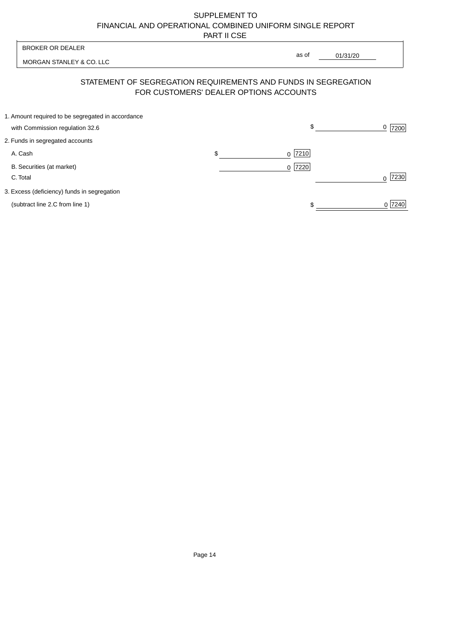| <b>BROKER OR DEALER</b><br>MORGAN STANLEY & CO. LLC |                                                                                                          |       |          |
|-----------------------------------------------------|----------------------------------------------------------------------------------------------------------|-------|----------|
|                                                     |                                                                                                          | as of | 01/31/20 |
|                                                     | STATEMENT OF SEGREGATION REQUIREMENTS AND FUNDS IN SEGREGATION<br>FOR CUSTOMERS' DEALER OPTIONS ACCOUNTS |       |          |

| 1. Amount required to be segregated in accordance |           |        |
|---------------------------------------------------|-----------|--------|
| with Commission regulation 32.6                   | \$        | 7200   |
| 2. Funds in segregated accounts                   |           |        |
| A. Cash                                           | $0$  7210 |        |
| B. Securities (at market)                         | $0$  7220 |        |
| C. Total                                          |           | 7230   |
| 3. Excess (deficiency) funds in segregation       |           |        |
| (subtract line 2.C from line 1)                   |           | 0 7240 |
|                                                   |           |        |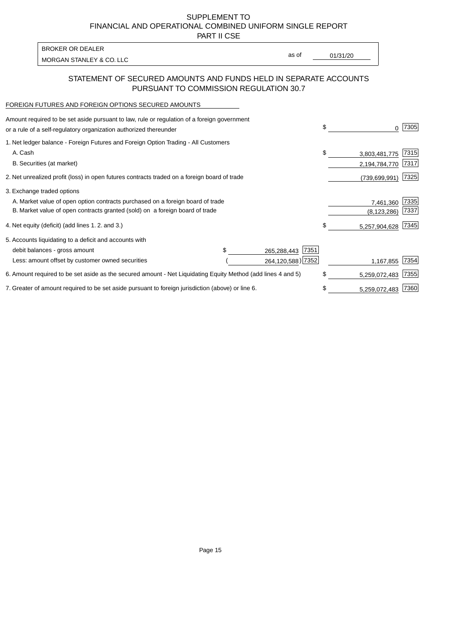PART II CSE

| BROKER OR DEALER         |       |          |
|--------------------------|-------|----------|
| MORGAN STANLEY & CO. LLC | as of | 01/31/20 |
|                          |       |          |

# STATEMENT OF SECURED AMOUNTS AND FUNDS HELD IN SEPARATE ACCOUNTS PURSUANT TO COMMISSION REGULATION 30.7

#### FOREIGN FUTURES AND FOREIGN OPTIONS SECURED AMOUNTS

| Amount required to be set aside pursuant to law, rule or regulation of a foreign government<br>or a rule of a self-regulatory organization authorized thereunder |  |                     | \$<br>0             | 7305 |
|------------------------------------------------------------------------------------------------------------------------------------------------------------------|--|---------------------|---------------------|------|
| 1. Net ledger balance - Foreign Futures and Foreign Option Trading - All Customers                                                                               |  |                     |                     |      |
| A. Cash                                                                                                                                                          |  |                     | \$<br>3,803,481,775 | 7315 |
| B. Securities (at market)                                                                                                                                        |  |                     | 2,194,784,770       | 7317 |
| 2. Net unrealized profit (loss) in open futures contracts traded on a foreign board of trade                                                                     |  |                     | (739, 699, 991)     | 7325 |
| 3. Exchange traded options                                                                                                                                       |  |                     |                     |      |
| A. Market value of open option contracts purchased on a foreign board of trade                                                                                   |  | 7,461,360           | 7335                |      |
| B. Market value of open contracts granted (sold) on a foreign board of trade                                                                                     |  | (8, 123, 286)       | 7337                |      |
| 4. Net equity (deficit) (add lines 1.2. and 3.)                                                                                                                  |  |                     | \$<br>5,257,904,628 | 7345 |
| 5. Accounts liquidating to a deficit and accounts with                                                                                                           |  |                     |                     |      |
| debit balances - gross amount                                                                                                                                    |  | 7351<br>265,288,443 |                     |      |
| Less: amount offset by customer owned securities                                                                                                                 |  | 264,120,588) 7352   | 1,167,855           | 7354 |
| 6. Amount required to be set aside as the secured amount - Net Liquidating Equity Method (add lines 4 and 5)                                                     |  | \$<br>5,259,072,483 | 7355                |      |
| 7. Greater of amount required to be set aside pursuant to foreign jurisdiction (above) or line 6.                                                                |  | \$<br>5,259,072,483 | 7360                |      |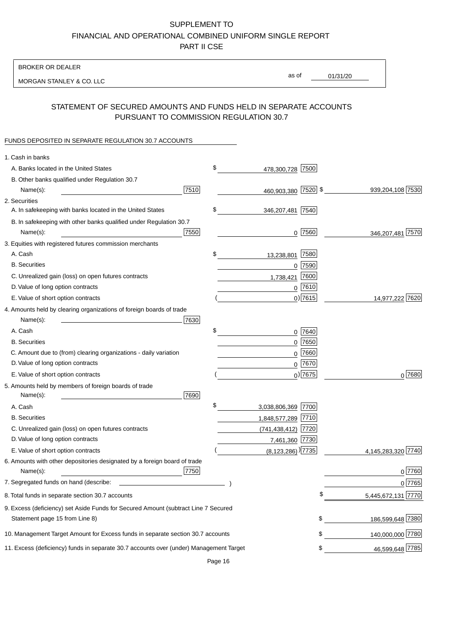BROKER OR DEALER

MORGAN STANLEY & CO. LLC

01/31/20 as of

# STATEMENT OF SECURED AMOUNTS AND FUNDS HELD IN SEPARATE ACCOUNTS PURSUANT TO COMMISSION REGULATION 30.7

### FUNDS DEPOSITED IN SEPARATE REGULATION 30.7 ACCOUNTS

| 1. Cash in banks                                                                       |      |                                     |                          |
|----------------------------------------------------------------------------------------|------|-------------------------------------|--------------------------|
| A. Banks located in the United States                                                  | \$   | 478,300,728 7500                    |                          |
| B. Other banks qualified under Regulation 30.7                                         |      |                                     |                          |
| Name(s):                                                                               | 7510 | 460,903,380 7520 \$                 | 939,204,108 7530         |
| 2. Securities                                                                          |      |                                     |                          |
| A. In safekeeping with banks located in the United States                              | \$   | 346,207,481 7540                    |                          |
| B. In safekeeping with other banks qualified under Regulation 30.7                     |      |                                     |                          |
| Name(s):                                                                               | 7550 | $0$  7560                           | 346,207,481 7570         |
| 3. Equities with registered futures commission merchants                               |      |                                     |                          |
| A. Cash                                                                                | \$   | 7580<br>13,238,801                  |                          |
| <b>B.</b> Securities                                                                   |      | $0$ 7590                            |                          |
| C. Unrealized gain (loss) on open futures contracts                                    |      | 7600<br>1,738,421                   |                          |
| D. Value of long option contracts                                                      |      | $0$ 7610                            |                          |
| E. Value of short option contracts                                                     |      | $0)$ 7615                           | 14,977,222 7620          |
| 4. Amounts held by clearing organizations of foreign boards of trade                   |      |                                     |                          |
| Name(s):                                                                               | 7630 |                                     |                          |
| A. Cash                                                                                | \$   | $0$ 7640                            |                          |
| <b>B.</b> Securities                                                                   |      | 7650<br>0                           |                          |
| C. Amount due to (from) clearing organizations - daily variation                       |      | 7660<br>0                           |                          |
| D. Value of long option contracts                                                      |      | 0 7670                              |                          |
| E. Value of short option contracts                                                     |      | $0$ ) 7675                          | $0^{7680}$               |
| 5. Amounts held by members of foreign boards of trade                                  |      |                                     |                          |
| Name(s):                                                                               | 7690 |                                     |                          |
| A. Cash                                                                                | \$   | 3,038,806,369 7700                  |                          |
| <b>B.</b> Securities                                                                   |      | 1,848,577,289 7710                  |                          |
| C. Unrealized gain (loss) on open futures contracts                                    |      | $(741, 438, 412)$ 7720              |                          |
| D. Value of long option contracts                                                      |      | 7,461,360 7730                      |                          |
| E. Value of short option contracts                                                     |      | $(8, 123, 286)$ <sup>)</sup> [7735] | 4,145,283,320 7740       |
| 6. Amounts with other depositories designated by a foreign board of trade              |      |                                     |                          |
| Name(s):                                                                               | 7750 |                                     | 0 7760                   |
| 7. Segregated funds on hand (describe:                                                 |      |                                     | 0 7765                   |
| 8. Total funds in separate section 30.7 accounts                                       |      |                                     | 5,445,672,131 7770<br>\$ |
| 9. Excess (deficiency) set Aside Funds for Secured Amount (subtract Line 7 Secured     |      |                                     |                          |
| Statement page 15 from Line 8)                                                         |      |                                     | 186,599,648 7380<br>\$   |
| 10. Management Target Amount for Excess funds in separate section 30.7 accounts        |      |                                     | 140,000,000 7780<br>\$   |
| 11. Excess (deficiency) funds in separate 30.7 accounts over (under) Management Target |      |                                     | 46,599,648 7785<br>\$    |
|                                                                                        |      |                                     |                          |

Page 16